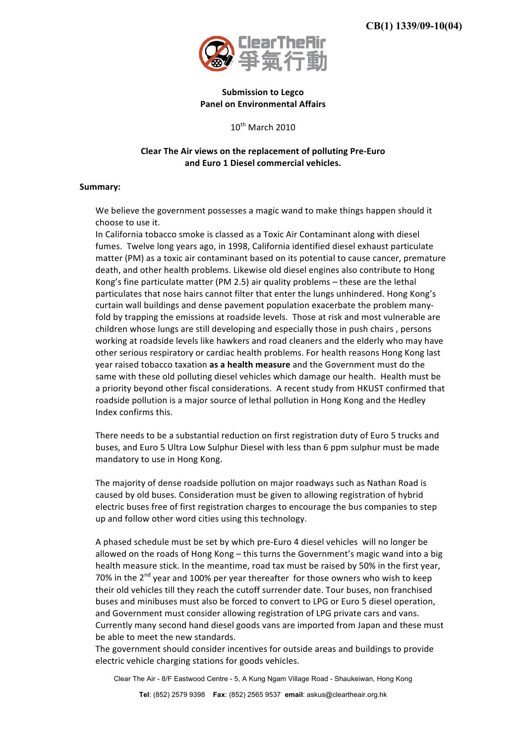

## **Submission
to
Legco Panel
on
Environmental
Affairs**

10<sup>th</sup> March 2010

## Clear The Air views on the replacement of polluting Pre-Euro **and
Euro
1
Diesel
commercial
vehicles.**

## **Summary:**

We believe the government possesses a magic wand to make things happen should it choose
to
use
it.

In
California
tobacco
smoke
is
classed
as
a
Toxic
Air
Contaminant
along
with
diesel fumes. Twelve long years ago, in 1998, California identified diesel exhaust particulate matter (PM) as a toxic air contaminant based on its potential to cause cancer, premature death,
and
other
health
problems.
Likewise
old
diesel
engines
also
contribute
to
Hong Kong's
fine
particulate
matter
(PM
2.5)
air
quality
problems –
these
are
the
lethal particulates
that
nose
hairs
cannot
filter
that
enter
the
lungs
unhindered.
Hong
Kong's curtain wall buildings and dense pavement population exacerbate the problem manyfold by trapping the emissions at roadside levels. Those at risk and most vulnerable are children
whose
lungs
are
still developing
and
especially
those
in
push
chairs
,
persons working at roadside levels like hawkers and road cleaners and the elderly who may have other
serious
respiratory
or
cardiac
health
problems. For
health
reasons
Hong
Kong
last year raised tobacco taxation as a health measure and the Government must do the same with these old polluting diesel vehicles which damage our health. Health must be a priority beyond other fiscal considerations. A recent study from HKUST confirmed that roadside pollution is a major source of lethal pollution in Hong Kong and the Hedley Index
confirms
this.

There
needs
to
be
a
substantial
reduction
on
first
registration
duty
of
Euro
5
trucks
and buses,
and
Euro
5
Ultra
Low
Sulphur
Diesel
with
less
than
6
ppm
sulphur
must
be
made mandatory
to
use
in
Hong
Kong.

The
majority
of
dense
roadside
pollution
on
major
roadways
such
as
Nathan
Road
is caused
by
old
buses.
Consideration
must
be
given
to
allowing
registration
of
hybrid electric
buses
free
of
first
registration
charges
to
encourage
the
bus
companies
to
step up
and
follow
other
word
cities
using
this
technology.

A phased schedule must be set by which pre-Euro 4 diesel vehicles will no longer be allowed
on
the
roads
of
Hong
Kong
–
this
turns
the
Government's
magic
wand
into
a
big health measure stick. In the meantime, road tax must be raised by 50% in the first year, 70% in the  $2^{nd}$  year and 100% per year thereafter for those owners who wish to keep their
old
vehicles
till
they
reach
the
cutoff
surrender
date.
Tour
buses,
non
franchised buses
and
minibuses
must
also
be
forced
to
convert
to
LPG
or
Euro
5
diesel
operation, and Government must consider allowing registration of LPG private cars and vans. Currently
many
second
hand
diesel
goods
vans
are
imported
from
Japan
and
these
must be
able
to
meet
the
new
standards.

The
government
should
consider
incentives
for
outside
areas
and
buildings
to
provide electric
vehicle
charging
stations
for
goods
vehicles.

Clear The Air - 8/F Eastwood Centre - 5, A Kung Ngam Village Road - Shaukeiwan, Hong Kong

**Tel**: (852) 2579 9398 **Fax**: (852) 2565 9537 **email**: askus@cleartheair.org.hk